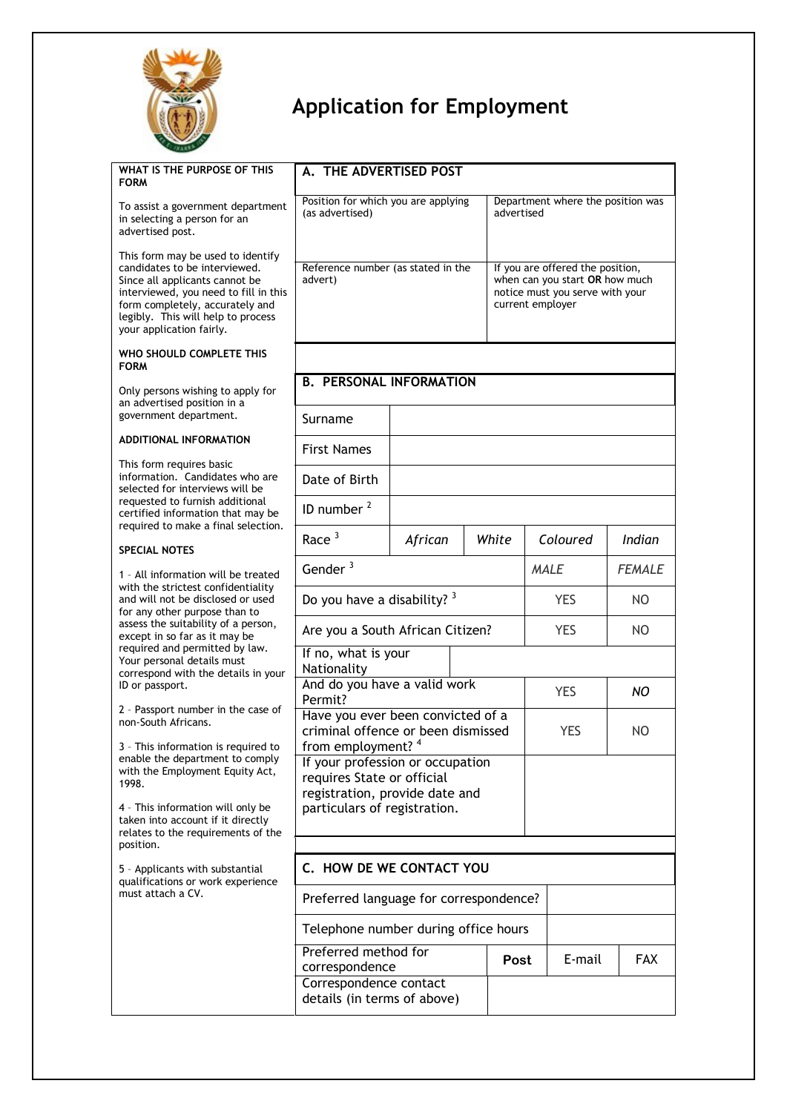

## **Application for Employment**

| WHAT IS THE PURPOSE OF THIS<br><b>FORM</b>                                                                                                                                                                                                         | A. THE ADVERTISED POST                                                                        |         |                                                                                                                           |        |             |               |
|----------------------------------------------------------------------------------------------------------------------------------------------------------------------------------------------------------------------------------------------------|-----------------------------------------------------------------------------------------------|---------|---------------------------------------------------------------------------------------------------------------------------|--------|-------------|---------------|
| To assist a government department<br>in selecting a person for an<br>advertised post.                                                                                                                                                              | Position for which you are applying<br>(as advertised)                                        |         | Department where the position was<br>advertised                                                                           |        |             |               |
| This form may be used to identify<br>candidates to be interviewed.<br>Since all applicants cannot be<br>interviewed, you need to fill in this<br>form completely, accurately and<br>legibly. This will help to process<br>your application fairly. | Reference number (as stated in the<br>advert)                                                 |         | If you are offered the position,<br>when can you start OR how much<br>notice must you serve with your<br>current employer |        |             |               |
| WHO SHOULD COMPLETE THIS<br><b>FORM</b>                                                                                                                                                                                                            |                                                                                               |         |                                                                                                                           |        |             |               |
| Only persons wishing to apply for<br>an advertised position in a                                                                                                                                                                                   | <b>B. PERSONAL INFORMATION</b>                                                                |         |                                                                                                                           |        |             |               |
| government department.                                                                                                                                                                                                                             | Surname                                                                                       |         |                                                                                                                           |        |             |               |
| <b>ADDITIONAL INFORMATION</b>                                                                                                                                                                                                                      | <b>First Names</b>                                                                            |         |                                                                                                                           |        |             |               |
| This form requires basic<br>information. Candidates who are<br>selected for interviews will be                                                                                                                                                     | Date of Birth                                                                                 |         |                                                                                                                           |        |             |               |
| requested to furnish additional<br>certified information that may be<br>required to make a final selection.                                                                                                                                        | ID number $2$                                                                                 |         |                                                                                                                           |        |             |               |
| <b>SPECIAL NOTES</b>                                                                                                                                                                                                                               | Race $3$                                                                                      | African | White                                                                                                                     |        | Coloured    | Indian        |
| 1 - All information will be treated                                                                                                                                                                                                                | Gender $3$                                                                                    |         |                                                                                                                           |        | <b>MALE</b> | <b>FEMALE</b> |
| with the strictest confidentiality<br>and will not be disclosed or used<br>for any other purpose than to                                                                                                                                           | Do you have a disability? 3                                                                   |         |                                                                                                                           |        | <b>YES</b>  | <b>NO</b>     |
| assess the suitability of a person,<br>except in so far as it may be                                                                                                                                                                               | Are you a South African Citizen?                                                              |         |                                                                                                                           |        | <b>YES</b>  | NO            |
| required and permitted by law.<br>Your personal details must<br>correspond with the details in your                                                                                                                                                | If no, what is your<br>Nationality                                                            |         |                                                                                                                           |        |             |               |
| ID or passport.                                                                                                                                                                                                                                    | And do you have a valid work<br>Permit?                                                       |         |                                                                                                                           |        | <b>YES</b>  | NO            |
| 2 - Passport number in the case of<br>non-South Africans.<br>3 - This information is required to                                                                                                                                                   | Have you ever been convicted of a<br>criminal offence or been dismissed<br>from employment? 4 |         |                                                                                                                           |        | <b>YES</b>  | NO            |
| enable the department to comply<br>with the Employment Equity Act,                                                                                                                                                                                 | If your profession or occupation<br>requires State or official                                |         |                                                                                                                           |        |             |               |
| 1998.<br>4 - This information will only be                                                                                                                                                                                                         | registration, provide date and<br>particulars of registration.                                |         |                                                                                                                           |        |             |               |
| taken into account if it directly<br>relates to the requirements of the                                                                                                                                                                            |                                                                                               |         |                                                                                                                           |        |             |               |
| position.                                                                                                                                                                                                                                          |                                                                                               |         |                                                                                                                           |        |             |               |
| 5 - Applicants with substantial<br>qualifications or work experience                                                                                                                                                                               | C. HOW DE WE CONTACT YOU                                                                      |         |                                                                                                                           |        |             |               |
| must attach a CV.                                                                                                                                                                                                                                  | Preferred language for correspondence?                                                        |         |                                                                                                                           |        |             |               |
|                                                                                                                                                                                                                                                    | Telephone number during office hours                                                          |         |                                                                                                                           |        |             |               |
|                                                                                                                                                                                                                                                    | Preferred method for<br>correspondence                                                        |         | Post                                                                                                                      | E-mail | <b>FAX</b>  |               |
|                                                                                                                                                                                                                                                    | Correspondence contact<br>details (in terms of above)                                         |         |                                                                                                                           |        |             |               |